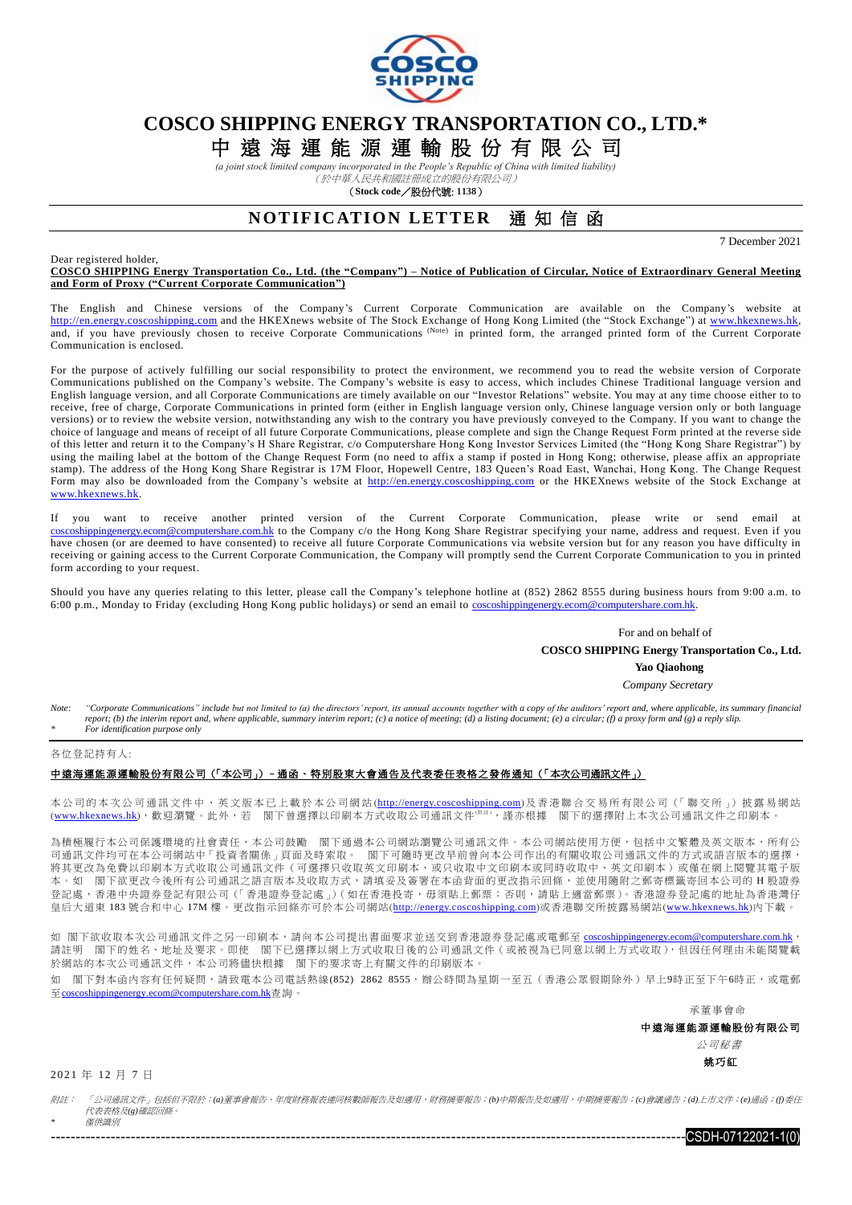

# **COSCO SHIPPING ENERGY TRANSPORTATION CO., LTD.\***

中 遠 海 運 能 源 運 輸 股 份 有 限 公 司

*(a joint stock limited company incorporated in the People's Republic of China with limited liability)* (於中華人民共和國註冊成立的股份有限公司)

(**Stock code**/股份代號: **1138**)

## **NOTIFICATION LETTER** 通知信函

7 December 2021

#### Dear registered holder,

**COSCO SHIPPING Energy Transportation Co., Ltd. (the "Company") – Notice of Publication of Circular, Notice of Extraordinary General Meeting and Form of Proxy ("Current Corporate Communication")**

The English and Chinese versions of the Company's Current Corporate Communication are available on the Company's website at [http://en.energy.coscoshipping.com](http://en.energy.coscoshipping.com/) and the HKEXnews website of The Stock Exchange of Hong Kong Limited (the "Stock Exchange") at [www.hkexnews.hk,](http://www.hkexnews.hk/index.htm) and, if you have previously chosen to receive Corporate Communications (Note) in printed form, the arranged printed form of the Current Corporate Communication is enclosed.

For the purpose of actively fulfilling our social responsibility to protect the environment, we recommend you to read the website version of Corporate Communications published on the Company's website. The Company's website is easy to access, which includes Chinese Traditional language version and English language version, and all Corporate Communications are timely available on our "Investor Relations" website. You may at any time choose either to to receive, free of charge, Corporate Communications in printed form (either in English language version only, Chinese language version only or both language versions) or to review the website version, notwithstanding any wish to the contrary you have previously conveyed to the Company. If you want to change the choice of language and means of receipt of all future Corporate Communications, please complete and sign the Change Request Form printed at the reverse side of this letter and return it to the Company's H Share Registrar, c/o Computershare Hong Kong Investor Services Limited (the "Hong Kong Share Registrar") by using the mailing label at the bottom of the Change Request Form (no need to affix a stamp if posted in Hong Kong; otherwise, please affix an appropriate stamp). The address of the Hong Kong Share Registrar is 17M Floor, Hopewell Centre, 183 Queen's Road East, Wanchai, Hong Kong. The Change Request Form may also be downloaded from the Company's website at [http://en.energy.coscoshipping.com](http://en.energy.coscoshipping.com/) or the HKEXnews website of the Stock Exchange at [www.hkexnews.hk.](http://www.hkexnews.hk/index.htm)

If you want to receive another printed version of the Current Corporate Communication, please write or send email at [coscoshippingenergy.ecom@computershare.com.hk](mailto:coscoshippingenergy.ecom@computershare.com.hk) to the Company c/o the Hong Kong Share Registrar specifying your name, address and request. Even if you have chosen (or are deemed to have consented) to receive all future Corporate Communications via website version but for any reason you have difficulty in receiving or gaining access to the Current Corporate Communication, the Company will promptly send the Current Corporate Communication to you in printed form according to your request.

Should you have any queries relating to this letter, please call the Company's telephone hotline at (852) 2862 8555 during business hours from 9:00 a.m. to 6:00 p.m., Monday to Friday (excluding Hong Kong public holidays) or send an email to [coscoshippingenergy.ecom@computershare.com.hk.](mailto:coscoshippingenergy.ecom@computershare.com.hk)

For and on behalf of

 **COSCO SHIPPING Energy Transportation Co., Ltd.**

**Yao Qiaohong**

*Company Secretary*

Note: "Corporate Communications" include but not limited to (a) the directors' report, its annual accounts together with a copy of the auditors' report and, where applicable, its summary financial *report; (b) the interim report and, where applicable, summary interim report; (c) a notice of meeting; (d) a listing document; (e) a circular; (f) a proxy form and (g) a reply slip. \* For identification purpose only*

#### 各位登記持有人:

#### 中遠海運能源運輸股份有限公司(「本公司」)–通函、特別股東大會通告及代表委任表格之發佈通知(「本次公司通訊文件」)

本公司仍本次公司通訊文件中、英文版本已上載於本公司網站([http://energy.coscoshipping.com](http://energy.coscoshipping.com/))及香港聯合交易所有限公司(「聯交所」) 披露易網站 ([www.hkexnews.hk](http://www.hkexnews.hk/index_c.htm)),歡迎瀏覽。此外,若 閣下曾選擇以印刷本方式收取公司通訊文件<sup>(哪註)</sup>,謹亦根據 閣下的選擇附上本次公司通訊文件之印刷本。

為積極履行本公司保護環境的社會責任,本公司鼓勵 閣下通過本公司網站瀏覽公司通訊文件。本公司網站使用方便,包括中文繁體及英文版本,所有公 司通訊文件均可在本公司網站中「投資者關係」頁面及時索取。 閣下可隨時更改早前曾向本公司作出的有關收取公司通訊文件的方式或語言版本的選擇, 將其更改為免費以印刷本方式收取公司通訊文件(可選擇只收取英文印刷本、或只收取中文印刷本或同時收取中、英文印刷本)或僅在網上閱覽其電子版 本。如 閣下欲更改今後所有公司通訊之語言版本及收取方式,請填妥及簽署在本函背面的更改指示回條,並使用隨附之郵寄標籤寄回本公司的 H 股證券 登記處,香港中央證券登記有限公司(「香港證券登記處」)(如在香港投寄,毋須貼上郵票;否則,請貼上適當郵票)。香港證券登記處的地址為香港灣仔 皇后大道東 183 號合和中心 17M 樓。更改指示回條亦可於本公司網站([http://energy.coscoshipping.com](http://energy.coscoshipping.com/))或香港聯交所披露易網站([www.hkexnews.hk](http://www.hkexnews.hk/index_c.htm))内下載。

如 閣下欲收取本次公司通訊文件之另一印刷本,請向本公司提出書面要求並送交到香港證券登記處或電郵至 [coscoshippingenergy.ecom@computershare.com.hk](mailto:coscoshippingenergy.ecom@computershare.com.hk), 請註明 閣下的姓名、地址及要求。即使 閣下已選擇以網上方式收取日後的公司通訊文件(或被視為已同意以網上方式收取),但因任何理由未能閱覽載 於網站的本次公司通訊文件,本公司將儘快根據 閣下的要求寄上有關文件的印刷版本

如 閣下對本函內容有任何疑問,請致電本公司電話熱線(852) 2862 8555,辦公時間為星期一至五(香港公眾假期除外)早上9時正至下午6時正,或電郵 至[coscoshippingenergy.ecom@computershare.com.hk](mailto:coscoshippingenergy.ecom@computershare.com.hk)查詢。

承董事會命

中遠海運能源運輸股份有限公司

 公司秘書 姚巧紅

 $-$ CSDH $-07122021-1(0)$ 

2 0 21 年 12 月 7 日

附註: 「公司通訊文件」包括但不限於:*(a)*董事會報告、年度財務報表連同核數師報告及如適用,財務摘要報告;*(b)*中期報告及如適用,中期摘要報告;*(c)*會議通告;*(d)*上市文件;*(e)*通函;*(f)*委任 代表表格及*(g)*確認回條。

*\** 僅供識別